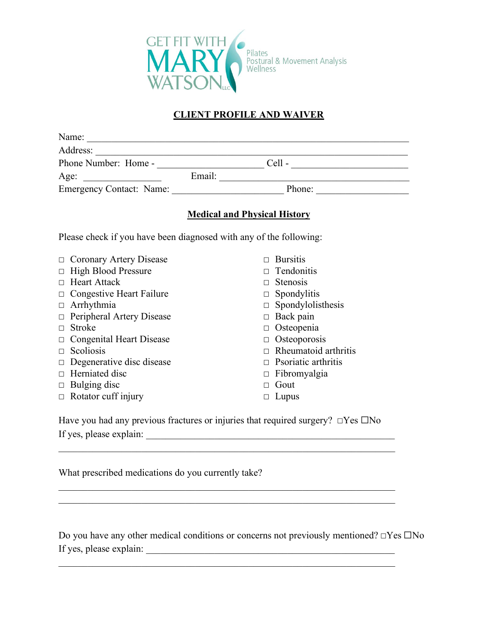

## **CLIENT PROFILE AND WAIVER**

| Phone Number: Home - Cell - Cell - Cell - Cell - Cell - Cell - Cell - Cell - Cell - Cell - Cell - Cell - Cell - Cell - Cell - Cell - Cell - Cell - Cell - Cell - Cell - Cell - Cell - Cell - Cell - Cell - Cell - Cell - Cell |                                                                                                                                                                                                                               |  |  |  |
|-------------------------------------------------------------------------------------------------------------------------------------------------------------------------------------------------------------------------------|-------------------------------------------------------------------------------------------------------------------------------------------------------------------------------------------------------------------------------|--|--|--|
|                                                                                                                                                                                                                               |                                                                                                                                                                                                                               |  |  |  |
|                                                                                                                                                                                                                               | Age: Email: Email: Phone: Phone: Phone: Phone: Phone: Phone: Phone: Phone: Phone: Phone: Phone: Phone: Phone: Phone: Phone: Phone: Phone: Phone: Phone: Phone: Phone: Phone: Phone: Phone: Phone: Phone: Phone: Phone: Phone: |  |  |  |
|                                                                                                                                                                                                                               |                                                                                                                                                                                                                               |  |  |  |
| <b>Medical and Physical History</b>                                                                                                                                                                                           |                                                                                                                                                                                                                               |  |  |  |
| Please check if you have been diagnosed with any of the following:                                                                                                                                                            |                                                                                                                                                                                                                               |  |  |  |
| $\Box$ Coronary Artery Disease                                                                                                                                                                                                | $\Box$ Bursitis                                                                                                                                                                                                               |  |  |  |
| <b>High Blood Pressure</b><br>$\Box$                                                                                                                                                                                          | Tendonitis<br>П                                                                                                                                                                                                               |  |  |  |
| $\Box$ Heart Attack                                                                                                                                                                                                           | $\Box$ Stenosis                                                                                                                                                                                                               |  |  |  |
| $\Box$ Congestive Heart Failure                                                                                                                                                                                               | $\Box$ Spondylitis                                                                                                                                                                                                            |  |  |  |
| $\Box$ Arrhythmia                                                                                                                                                                                                             | $\Box$ Spondylolisthesis                                                                                                                                                                                                      |  |  |  |
| $\Box$ Peripheral Artery Disease                                                                                                                                                                                              | $\Box$ Back pain                                                                                                                                                                                                              |  |  |  |
| $\Box$ Stroke                                                                                                                                                                                                                 | $\Box$ Osteopenia                                                                                                                                                                                                             |  |  |  |
| $\Box$ Congenital Heart Disease                                                                                                                                                                                               | $\Box$ Osteoporosis                                                                                                                                                                                                           |  |  |  |
| $\Box$ Scoliosis                                                                                                                                                                                                              | Rheumatoid arthritis                                                                                                                                                                                                          |  |  |  |
| $\Box$ Degenerative disc disease                                                                                                                                                                                              | $\Box$ Psoriatic arthritis                                                                                                                                                                                                    |  |  |  |
| $\Box$ Herniated disc                                                                                                                                                                                                         | $\Box$ Fibromyalgia                                                                                                                                                                                                           |  |  |  |
| $\Box$ Bulging disc                                                                                                                                                                                                           | $\Box$ Gout                                                                                                                                                                                                                   |  |  |  |
| $\Box$ Rotator cuff injury                                                                                                                                                                                                    | Lupus<br>$\Box$                                                                                                                                                                                                               |  |  |  |
| Have you had any previous fractures or injuries that required surgery? $\Box$ Yes $\Box$ No                                                                                                                                   |                                                                                                                                                                                                                               |  |  |  |

If yes, please explain: \_\_\_\_\_\_\_\_\_\_\_\_\_\_\_\_\_\_\_\_\_\_\_\_\_\_\_\_\_\_\_\_\_\_\_\_\_\_\_\_\_\_\_\_\_\_\_\_\_\_\_

What prescribed medications do you currently take?

Do you have any other medical conditions or concerns not previously mentioned? **☐**Yes ☐No If yes, please explain: \_\_\_\_\_\_\_\_\_\_\_\_\_\_\_\_\_\_\_\_\_\_\_\_\_\_\_\_\_\_\_\_\_\_\_\_\_\_\_\_\_\_\_\_\_\_\_\_\_\_\_

 $\mathcal{L}_\mathcal{L} = \mathcal{L}_\mathcal{L} = \mathcal{L}_\mathcal{L} = \mathcal{L}_\mathcal{L} = \mathcal{L}_\mathcal{L} = \mathcal{L}_\mathcal{L} = \mathcal{L}_\mathcal{L} = \mathcal{L}_\mathcal{L} = \mathcal{L}_\mathcal{L} = \mathcal{L}_\mathcal{L} = \mathcal{L}_\mathcal{L} = \mathcal{L}_\mathcal{L} = \mathcal{L}_\mathcal{L} = \mathcal{L}_\mathcal{L} = \mathcal{L}_\mathcal{L} = \mathcal{L}_\mathcal{L} = \mathcal{L}_\mathcal{L}$ 

 $\mathcal{L}_\text{max}$  and  $\mathcal{L}_\text{max}$  and  $\mathcal{L}_\text{max}$  and  $\mathcal{L}_\text{max}$  and  $\mathcal{L}_\text{max}$ 

\_\_\_\_\_\_\_\_\_\_\_\_\_\_\_\_\_\_\_\_\_\_\_\_\_\_\_\_\_\_\_\_\_\_\_\_\_\_\_\_\_\_\_\_\_\_\_\_\_\_\_\_\_\_\_\_\_\_\_\_\_\_\_\_\_\_\_\_\_